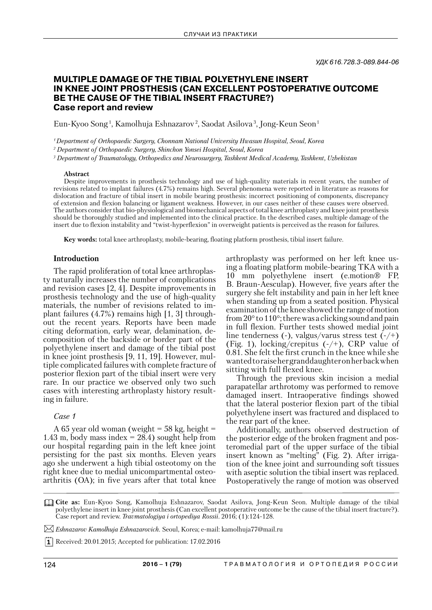# **MULTIPLE DAMAGE OF THE TIBIAL POLYETHYLENE INSERT IN KNEE JOINT PROSTHESIS (CAN EXCELLENT POSTOPERATIVE OUTCOME BE THE CAUSE OF THE TIBIAL INSERT FRACTURE?) Case report and review**

Eun-Kyoo Song 1 , Kamolhuja Eshnazarov 2 , Saodat Asilova 3 , Jong- Keun Seon 1

*1 Department of Orthopaedic Surgery, Chonnam National University Hwasun Hospital, Seoul, Korea*

*2 Department of Orthopaedic Surgery, Shinchon Yonsei Hospital, Seoul, Korea* 

*3 Department of Traumatology, Orthopedics and Neurosurgery, Tashkent Medical Academy, Tashkent, Uzbekistan*

#### **Abstract**

Despite improvements in prosthesis technology and use of high-quality materials in recent years, the number of revisions related to implant failures (4.7%) remains high. Several phenomena were reported in literature as reasons for dislocation and fracture of tibial insert in mobile bearing prosthesis: incorrect positioning of components, discrepancy of extension and flexion balancing or ligament weakness. However, in our cases neither of these causes were observed. The authors consider that bio-physiological and biomechanical aspects of total knee arthroplasty and knee joint prosthesis should be thoroughly studied and implemented into the clinical practice. In the described cases, multiple damage of the insert due to flexion instability and "twist-hyperflexion" in overweight patients is perceived as the reason for failures.

**Key words:** total knee arthroplasty, mobile-bearing, floating platform prosthesis, tibial insert failure.

### **Introduction**

The rapid proliferation of total knee arthroplasty naturally increases the number of complications and revision cases [2, 4]. Despite improvements in prosthesis technology and the use of high-quality materials, the number of revisions related to implant failures (4.7%) remains high [1, 3] throughout the recent years. Reports have been made citing deformation, early wear, delamination, decomposition of the backside or border part of the polyethylene insert and damage of the tibial post in knee joint prosthesis [9, 11, 19]. However, multiple complicated failures with complete fracture of posterior flexion part of the tibial insert were very rare. In our practice we observed only two such cases with interesting arthroplasty history resulting in failure.

### *Case 1*

A 65 year old woman (weight =  $58 \text{ kg}$ , height = 1.43 m, body mass index  $= 28.4$ ) sought help from our hospital regarding pain in the left knee joint persisting for the past six months. Eleven years ago she underwent a high tibial osteotomy on the right knee due to medial unicompartmental osteoarthritis (OA); in five years after that total knee arthroplasty was performed on her left knee using a floating platform mobile-bearing TKA with a 10 mm polyethylene insert (e.motion® FP, B. Braun-Aesculap). However, five years after the surgery she felt instability and pain in her left knee when standing up from a seated position. Physical examination of the knee showed the range of motion from 20 $\degree$  to 110 $\degree$ ; there was a clicking sound and pain in full flexion. Further tests showed medial joint line tenderness (-), valgus/varus stress test  $(-/+)$ (Fig. 1), locking/crepitus  $(-/+)$ , CRP value of 0.81. She felt the first crunch in the knee while she wanted to raise her granddaughter on her back when sitting with full flexed knee.

Through the previous skin incision a medial parapatellar arthrotomy was performed to remove damaged insert. Intraoperative findings showed that the lateral posterior flexion part of the tibial polyethylene insert was fractured and displaced to the rear part of the knee.

Additionally, authors observed destruction of the posterior edge of the broken fragment and posteromedial part of the upper surface of the tibial insert known as "melting" (Fig. 2). After irrigation of the knee joint and surrounding soft tissues with aseptic solution the tibial insert was replaced. Postoperatively the range of motion was observed

*Eshnazarov Kamolhuja Eshnazarovich.* Seoul, Korea; e-mail: kamolhuja77@mail.ru

**T** Received: 20.01.2015; Accepted for publication: 17.02.2016

**Cite as:** Eun-Kyoo Song, Kamolhuja Eshnazarov, Saodat Asilova, Jong- Keun Seon. Multiple damage of the tibial polyethylene insert in knee joint prosthesis (Can excellent postoperative outcome be the cause of the tibial insert fracture?). Case report and review. *Travmatologiya i ortopediya Rossii*. 2016; (1):124-128.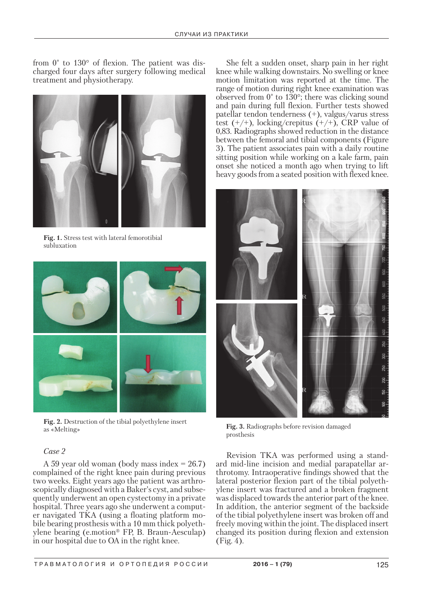from 0° to 130° of flexion. The patient was discharged four days after surgery following medical treatment and physiotherapy.



**Fig. 1.** Stress test with lateral femorotibial subluxation



**Fig. 2.** Destruction of the tibial polyethylene insert as «Melting» **Fig. 3.** Radiographs before revision damaged

## *Case 2*

A 59 year old woman (body mass index = 26.7) complained of the right knee pain during previous two weeks. Eight years ago the patient was arthroscopically diagnosed with a Baker's cyst, and subsequently underwent an open cystectomy in a private hospital. Three years ago she underwent a computer navigated TKA (using a floating platform mobile bearing prosthesis with a 10 mm thick polyethylene bearing (e.motion® FP, B. Braun-Aesculap) in our hospital due to OA in the right knee.

She felt a sudden onset, sharp pain in her right knee while walking downstairs. No swelling or knee motion limitation was reported at the time. The range of motion during right knee examination was observed from 0° to 130°; there was clicking sound and pain during full flexion. Further tests showed patellar tendon tenderness (+), valgus/varus stress test  $(+/+)$ , locking/crepitus  $(+/+)$ , CRP value of 0,83. Radiographs showed reduction in the distance between the femoral and tibial components (Figure 3). The patient associates pain with a daily routine sitting position while working on a kale farm, pain onset she noticed a month ago when trying to lift heavy goods from a seated position with flexed knee.



prosthesis

Revision TKA was performed using a standard mid-line incision and medial parapatellar arthrotomy. Intraoperative findings showed that the lateral posterior flexion part of the tibial polyethylene insert was fractured and a broken fragment was displaced towards the anterior part of the knee. In addition, the anterior segment of the backside of the tibial polyethylene insert was broken off and freely moving within the joint. The displaced insert changed its position during flexion and extension (Fig. 4).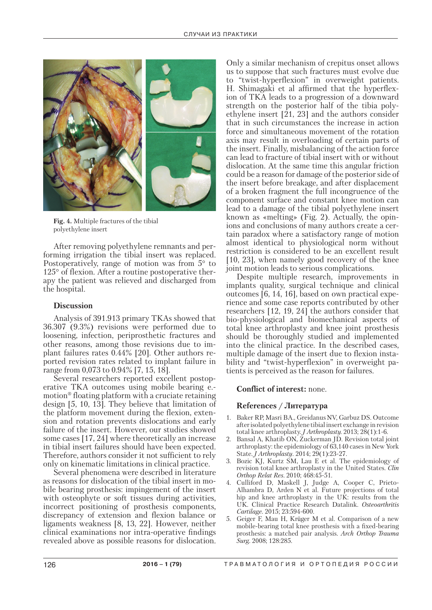

**Fig. 4.** Multiple fractures of the tibial polyethylene insert

After removing polyethylene remnants and performing irrigation the tibial insert was replaced. Postoperatively, range of motion was from 5° to 125° of flexion. After a routine postoperative therapy the patient was relieved and discharged from the hospital.

## **Discussion**

Analysis of 391.913 primary TKAs showed that 36.307 (9.3%) revisions were performed due to loosening, infection, periprosthetic fractures and other reasons, among those revisions due to implant failures rates 0.44% [20]. Other authors reported revision rates related to implant failure in range from 0,073 to 0.94% [7, 15, 18].

Several researchers reported excellent postoperative TKA outcomes using mobile bearing e. motion® floating platform with a cruciate retaining design [5, 10, 13]. They believe that limitation of the platform movement during the flexion, extension and rotation prevents dislocations and early failure of the insert. However, our studies showed some cases [17, 24] where theoretically an increase in tibial insert failures should have been expected. Therefore, authors consider it not sufficient to rely only on kinematic limitations in clinical practice.

Several phenomena were described in literature as reasons for dislocation of the tibial insert in mobile bearing prosthesis: impingement of the insert with osteophyte or soft tissues during activities, incorrect positioning of prosthesis components, discrepancy of extension and flexion balance or ligaments weakness [8, 13, 22]. However, neither clinical examinations nor intra-operative findings revealed above as possible reasons for dislocation.

Only a similar mechanism of crepitus onset allows us to suppose that such fractures must evolve due to "twist-hyperflexion" in overweight patients. H. Shimagaki et al affirmed that the hyperflexion of TKA leads to a progression of a downward strength on the posterior half of the tibia polyethylene insert  $[21, 23]$  and the authors consider that in such circumstances the increase in action force and simultaneous movement of the rotation axis may result in overloading of certain parts of the insert. Finally, misbalancing of the action force can lead to fracture of tibial insert with or without dislocation. At the same time this angular friction could be a reason for damage of the posterior side of the insert before breakage, and after displacement of a broken fragment the full incongruence of the component surface and constant knee motion can lead to a damage of the tibial polyethylene insert known as «melting» (Fig. 2). Actually, the opinions and conclusions of many authors create a certain paradox where a satisfactory range of motion almost identical to physiological norm without restriction is considered to be an excellent result [10, 23], when namely good recovery of the knee joint motion leads to serious complications.

Despite multiple research, improvements in implants quality, surgical technique and clinical outcomes [6, 14, 16], based on own practical experience and some case reports contributed by other researchers [12, 19, 24] the authors consider that bio-physiological and biomechanical aspects of total knee arthroplasty and knee joint prosthesis should be thoroughly studied and implemented into the clinical practice. In the described cases, multiple damage of the insert due to flexion instability and "twist-hyperflexion" in overweight patients is perceived as the reason for failures.

## **Conflict of interest:** none.

## **References / Литература**

- 1. Baker RP, Masri BA., Greidanus NV, Garbuz DS. Outcome after isolated polyethylene tibial insert exchange in revision total knee arthroplasty. *J Arthroplasty.* 2013; 28(1):1-6.
- 2. Bansal A, Khatib ON, Zuckerman JD. Revision total joint arthroplasty: the epidemiology of 63,140 cases in New York State. *J Arthroplasty*. 2014; 29(1):23-27.
- 3. Bozic KJ, Kurtz SM, Lau E et al. The epidemiology of revision total knee arthroplasty in the United States. *Clin Orthop Relat Res*. 2010; 468:45-51.
- 4. Culliford D, Maskell J, Judge A, Cooper C, Prieto-Alhambra D, Arden N et al. Future projections of total hip and knee arthroplasty in the UK: results from the UK. Clinical Practice Research Datalink. *Osteoarthritis Cartilage.* 2015; 23:594-600.
- 5. Geiger F, Mau H, Krüger M et al. Comparison of a new mobile-bearing total knee prosthesis with a fixed-bearing prosthesis: a matched pair analysis. *Arch Orthop Trauma Surg.* 2008; 128:285.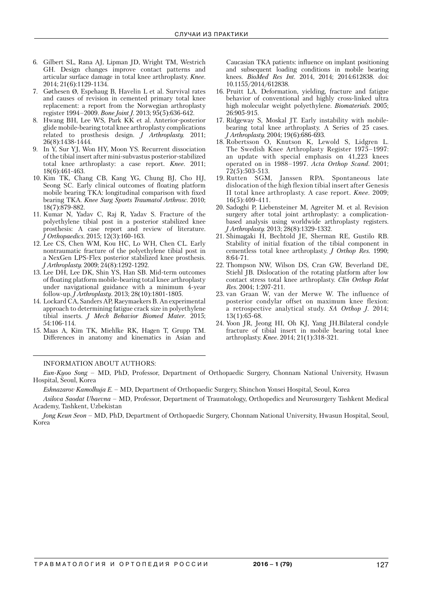- 6. Gilbert SL, Rana AJ, Lipman JD, Wright TM, Westrich GH. Design changes improve contact patterns and articular surface damage in total knee arthroplasty. *Knee*. 2014; 21(6):1129-1134.
- 7. Gøthesen Ø, Espehaug B, Havelin L et al. Survival rates and causes of revision in cemented primary total knee replacement: a report from the Norwegian arthroplasty register 1994–2009. *Bone Joint J.* 2013; 95(5):636-642.
- 8. Hwang BH, Lee WS, Park KK et al. Anterior-posterior glide mobile-bearing total knee arthroplasty complications related to prosthesis design. *J Arthroplasty.* 2011; 26(8):1438-1444.
- 9. In Y, Sur YJ, Won HY, Moon YS. Recurrent dissociation of the tibial insert after mini-subvastus posterior-stabilized total knee arthroplasty: a case report. *Knee*. 2011; 18(6):461-463.
- 10. Kim TK, Chang CB, Kang YG, Chung BJ, Cho HJ, Seong SC. Early clinical outcomes of floating platform mobile bearing TKA: longitudinal comparison with fixed bearing TKA. *Knee Surg Sports Traumatol Arthrosc.* 2010; 18(7):879-882.
- 11. Kumar N, Yadav C, Raj R, Yadav S. Fracture of the polyethylene tibial post in a posterior stabilized knee prosthesis: A case report and review of literature. *J Orthopaedics*. 2015; 12(3):160-163.
- 12. Lee CS, Chen WM, Kou HC, Lo WH, Chen CL. Early nontraumatic fracture of the polyethylene tibial post in a NexGen LPS-Flex posterior stabilized knee prosthesis. *J Arthroplasty.* 2009; 24(8):1292-1292.
- 13. Lee DH, Lee DK, Shin YS, Han SB. Mid-term outcomes of floating platform mobile-bearing total knee arthroplasty under navigational guidance with a minimum 4-year follow-up. *J Arthroplasty*. 2013; 28(10):1801-1805.
- 14. Lockard CA, Sanders AP, Raeymaekers B. An experimental approach to determining fatigue crack size in polyethylene tibial inserts. *J Mech Behavior Biomed Mater*. 2015; 54:106-114.
- 15. Maas A, Kim TK, Miehlke RK, Hagen T, Grupp TM. Differences in anatomy and kinematics in Asian and

Caucasian TKA patients: influence on implant positioning and subsequent loading conditions in mobile bearing knees. *BioMed Res Int.* 2014, 2014; 2014:612838. doi: 10.1155/2014/612838.

- 16. Pruitt LA. Deformation, yielding, fracture and fatigue behavior of conventional and highly cross-linked ultra high molecular weight polyethylene. *Biomaterials*. 2005; 26:905-915.
- 17. Ridgeway S, Moskal JT. Early instability with mobilebearing total knee arthroplasty. A Series of 25 cases. *J Arthroplasty.* 2004; 19(6):686-693.
- 18. Robertsson O, Knutson K, Lewold S, Lidgren L. The Swedish Knee Arthroplasty Register 1975–1997: an update with special emphasis on 41,223 knees operated on in 1988–1997. *Acta Orthop Scand*. 2001;  $72(5):503-513.$ <br>19. Rutten SGM,
- Janssen RPA. Spontaneous late dislocation of the high flexion tibial insert after Genesis II total knee arthroplasty. A case report. *Knee*. 2009; 16(5):409-411.
- 20. Sadoghi P, Liebensteiner M, Agreiter M. et al. Revision surgery after total joint arthroplasty: a complicationbased analysis using worldwide arthroplasty registers. *J Arthroplasty.* 2013; 28(8):1329-1332.
- 21. Shimagaki H, Bechtold JE, Sherman RE, Gustilo RB. Stability of initial fixation of the tibial component in cementless total knee arthroplasty. *J Orthop Res.* 1990; 8:64-71.
- 22. Thompson NW, Wilson DS, Cran GW, Beverland DE, Stiehl JB. Dislocation of the rotating platform after low contact stress total knee arthroplasty. *Clin Orthop Relat Res.* 2004; 1:207-211.
- 23. van Graan W, van der Merwe W. The influence of posterior condylar offset on maximum knee flexion: a retrospective analytical study. *SA Orthop J.* 2014; 13(1):65-68.
- 24. Yoon JR, Jeong HI, Oh KJ, Yang JH.Bilateral condyle fracture of tibial insert in mobile bearing total knee arthroplasty. *Knee*. 2014; 21(1):318-321.

### INFORMATION ABOUT AUTHORS:

*Eshnazarov Kamolhuja E.* – MD, Department of Orthopaedic Surgery, Shinchon Yonsei Hospital, Seoul, Korea

*Jong Keun Seon* – MD, PhD, Department of Orthopaedic Surgery, Chonnam National University, Hwasun Hospital, Seoul, Korea

*Eun-Kyoo Song* – MD, PhD, Professor, Department of Orthopaedic Surgery, Chonnam National University, Hwasun Hospital, Seoul, Korea

*Asilova Saodat Ubaevna* – MD, Professor, Department of Traumatology, Orthopedics and Neurosurgery Tashkent Medical Academy, Tashkent, Uzbekistan